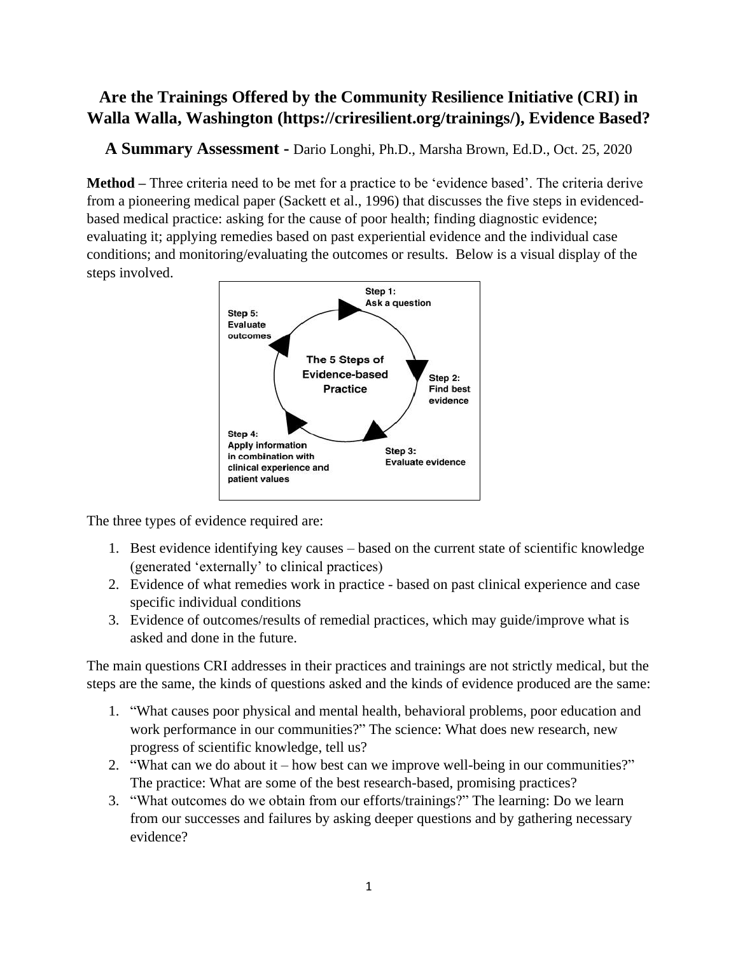# **Are the Trainings Offered by the Community Resilience Initiative (CRI) in Walla Walla, Washington (https://criresilient.org/trainings/), Evidence Based?**

**A Summary Assessment -** Dario Longhi, Ph.D., Marsha Brown, Ed.D., Oct. 25, 2020

**Method –** Three criteria need to be met for a practice to be 'evidence based'. The criteria derive from a pioneering medical paper (Sackett et al., 1996) that discusses the five steps in evidencedbased medical practice: asking for the cause of poor health; finding diagnostic evidence; evaluating it; applying remedies based on past experiential evidence and the individual case conditions; and monitoring/evaluating the outcomes or results. Below is a visual display of the steps involved.



The three types of evidence required are:

- 1. Best evidence identifying key causes based on the current state of scientific knowledge (generated 'externally' to clinical practices)
- 2. Evidence of what remedies work in practice based on past clinical experience and case specific individual conditions
- 3. Evidence of outcomes/results of remedial practices, which may guide/improve what is asked and done in the future.

The main questions CRI addresses in their practices and trainings are not strictly medical, but the steps are the same, the kinds of questions asked and the kinds of evidence produced are the same:

- 1. "What causes poor physical and mental health, behavioral problems, poor education and work performance in our communities?" The science: What does new research, new progress of scientific knowledge, tell us?
- 2. "What can we do about it how best can we improve well-being in our communities?" The practice: What are some of the best research-based, promising practices?
- 3. "What outcomes do we obtain from our efforts/trainings?" The learning: Do we learn from our successes and failures by asking deeper questions and by gathering necessary evidence?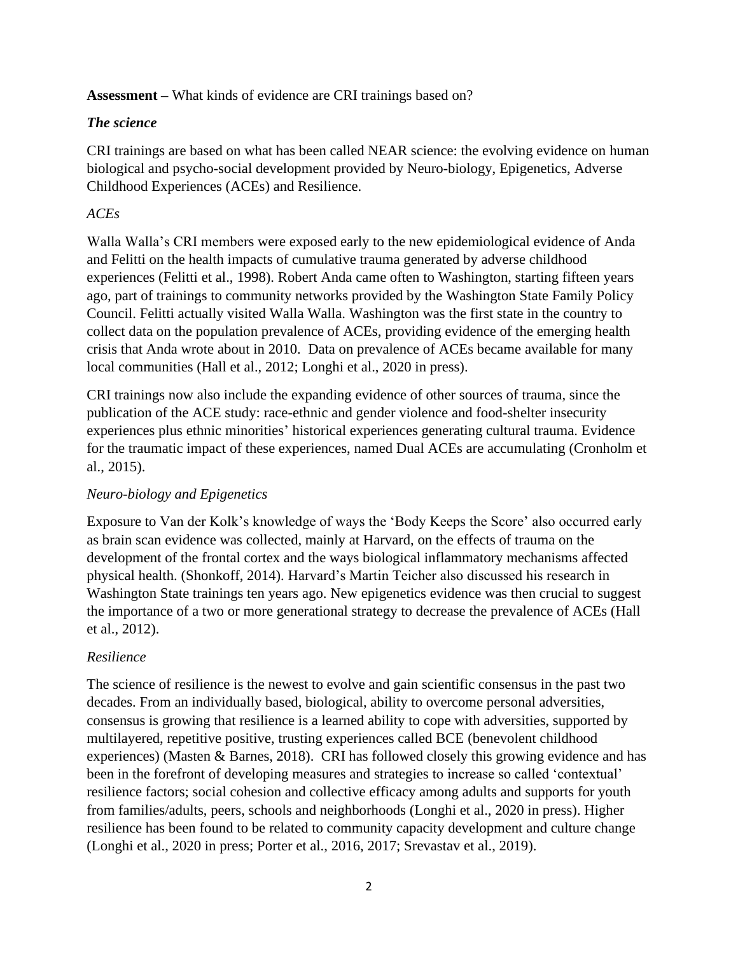**Assessment –** What kinds of evidence are CRI trainings based on?

### *The science*

CRI trainings are based on what has been called NEAR science: the evolving evidence on human biological and psycho-social development provided by Neuro-biology, Epigenetics, Adverse Childhood Experiences (ACEs) and Resilience.

## *ACEs*

Walla Walla's CRI members were exposed early to the new epidemiological evidence of Anda and Felitti on the health impacts of cumulative trauma generated by adverse childhood experiences (Felitti et al., 1998). Robert Anda came often to Washington, starting fifteen years ago, part of trainings to community networks provided by the Washington State Family Policy Council. Felitti actually visited Walla Walla. Washington was the first state in the country to collect data on the population prevalence of ACEs, providing evidence of the emerging health crisis that Anda wrote about in 2010. Data on prevalence of ACEs became available for many local communities (Hall et al., 2012; Longhi et al., 2020 in press).

CRI trainings now also include the expanding evidence of other sources of trauma, since the publication of the ACE study: race-ethnic and gender violence and food-shelter insecurity experiences plus ethnic minorities' historical experiences generating cultural trauma. Evidence for the traumatic impact of these experiences, named Dual ACEs are accumulating (Cronholm et al., 2015).

## *Neuro-biology and Epigenetics*

Exposure to Van der Kolk's knowledge of ways the 'Body Keeps the Score' also occurred early as brain scan evidence was collected, mainly at Harvard, on the effects of trauma on the development of the frontal cortex and the ways biological inflammatory mechanisms affected physical health. (Shonkoff, 2014). Harvard's Martin Teicher also discussed his research in Washington State trainings ten years ago. New epigenetics evidence was then crucial to suggest the importance of a two or more generational strategy to decrease the prevalence of ACEs (Hall et al., 2012).

## *Resilience*

The science of resilience is the newest to evolve and gain scientific consensus in the past two decades. From an individually based, biological, ability to overcome personal adversities, consensus is growing that resilience is a learned ability to cope with adversities, supported by multilayered, repetitive positive, trusting experiences called BCE (benevolent childhood experiences) (Masten & Barnes, 2018). CRI has followed closely this growing evidence and has been in the forefront of developing measures and strategies to increase so called 'contextual' resilience factors; social cohesion and collective efficacy among adults and supports for youth from families/adults, peers, schools and neighborhoods (Longhi et al., 2020 in press). Higher resilience has been found to be related to community capacity development and culture change (Longhi et al., 2020 in press; Porter et al., 2016, 2017; Srevastav et al., 2019).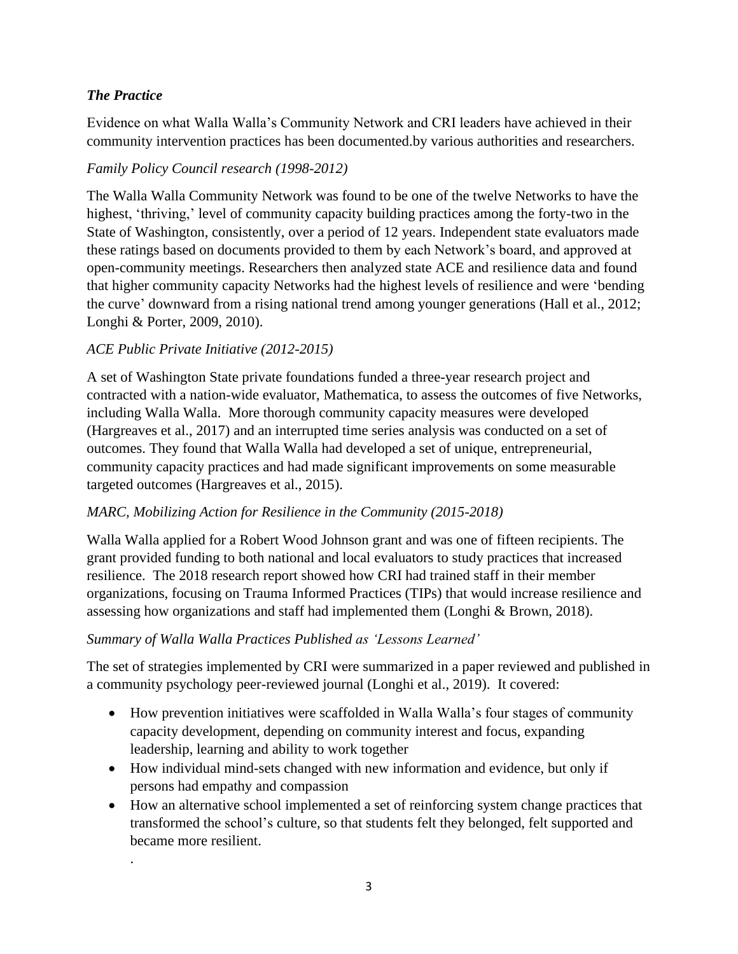### *The Practice*

.

Evidence on what Walla Walla's Community Network and CRI leaders have achieved in their community intervention practices has been documented.by various authorities and researchers.

### *Family Policy Council research (1998-2012)*

The Walla Walla Community Network was found to be one of the twelve Networks to have the highest, 'thriving,' level of community capacity building practices among the forty-two in the State of Washington, consistently, over a period of 12 years. Independent state evaluators made these ratings based on documents provided to them by each Network's board, and approved at open-community meetings. Researchers then analyzed state ACE and resilience data and found that higher community capacity Networks had the highest levels of resilience and were 'bending the curve' downward from a rising national trend among younger generations (Hall et al., 2012; Longhi & Porter, 2009, 2010).

### *ACE Public Private Initiative (2012-2015)*

A set of Washington State private foundations funded a three-year research project and contracted with a nation-wide evaluator, Mathematica, to assess the outcomes of five Networks, including Walla Walla. More thorough community capacity measures were developed (Hargreaves et al., 2017) and an interrupted time series analysis was conducted on a set of outcomes. They found that Walla Walla had developed a set of unique, entrepreneurial, community capacity practices and had made significant improvements on some measurable targeted outcomes (Hargreaves et al., 2015).

#### *MARC, Mobilizing Action for Resilience in the Community (2015-2018)*

Walla Walla applied for a Robert Wood Johnson grant and was one of fifteen recipients. The grant provided funding to both national and local evaluators to study practices that increased resilience. The 2018 research report showed how CRI had trained staff in their member organizations, focusing on Trauma Informed Practices (TIPs) that would increase resilience and assessing how organizations and staff had implemented them (Longhi & Brown, 2018).

#### *Summary of Walla Walla Practices Published as 'Lessons Learned'*

The set of strategies implemented by CRI were summarized in a paper reviewed and published in a community psychology peer-reviewed journal (Longhi et al., 2019). It covered:

- How prevention initiatives were scaffolded in Walla Walla's four stages of community capacity development, depending on community interest and focus, expanding leadership, learning and ability to work together
- How individual mind-sets changed with new information and evidence, but only if persons had empathy and compassion
- How an alternative school implemented a set of reinforcing system change practices that transformed the school's culture, so that students felt they belonged, felt supported and became more resilient.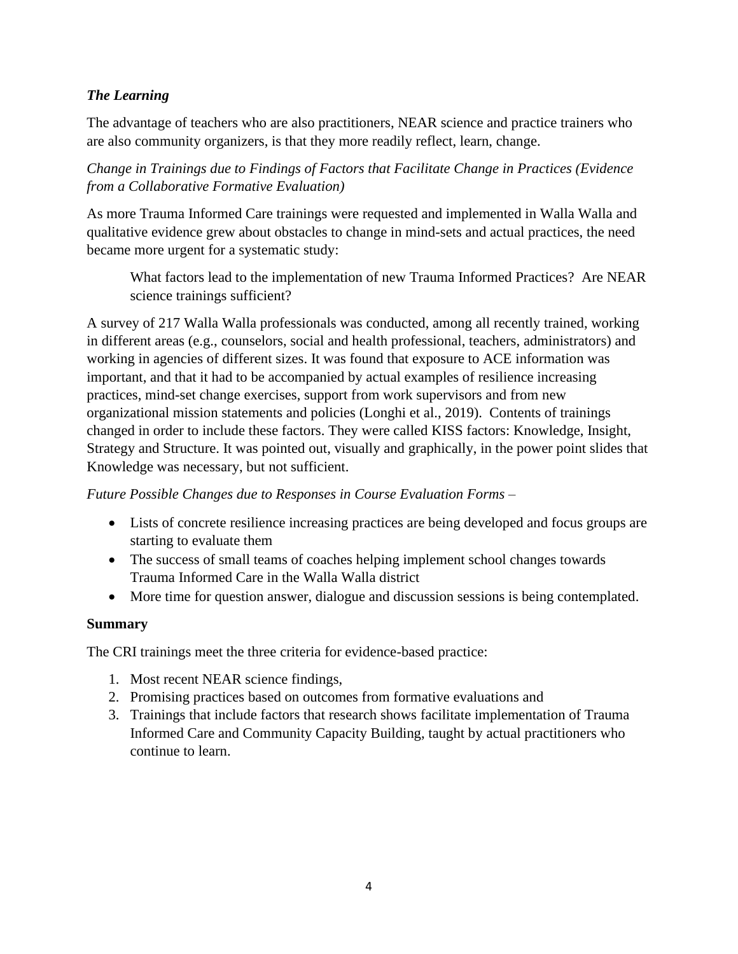### *The Learning*

The advantage of teachers who are also practitioners, NEAR science and practice trainers who are also community organizers, is that they more readily reflect, learn, change.

*Change in Trainings due to Findings of Factors that Facilitate Change in Practices (Evidence from a Collaborative Formative Evaluation)*

As more Trauma Informed Care trainings were requested and implemented in Walla Walla and qualitative evidence grew about obstacles to change in mind-sets and actual practices, the need became more urgent for a systematic study:

What factors lead to the implementation of new Trauma Informed Practices? Are NEAR science trainings sufficient?

A survey of 217 Walla Walla professionals was conducted, among all recently trained, working in different areas (e.g., counselors, social and health professional, teachers, administrators) and working in agencies of different sizes. It was found that exposure to ACE information was important, and that it had to be accompanied by actual examples of resilience increasing practices, mind-set change exercises, support from work supervisors and from new organizational mission statements and policies (Longhi et al., 2019). Contents of trainings changed in order to include these factors. They were called KISS factors: Knowledge, Insight, Strategy and Structure. It was pointed out, visually and graphically, in the power point slides that Knowledge was necessary, but not sufficient.

#### *Future Possible Changes due to Responses in Course Evaluation Forms –*

- Lists of concrete resilience increasing practices are being developed and focus groups are starting to evaluate them
- The success of small teams of coaches helping implement school changes towards Trauma Informed Care in the Walla Walla district
- More time for question answer, dialogue and discussion sessions is being contemplated.

#### **Summary**

The CRI trainings meet the three criteria for evidence-based practice:

- 1. Most recent NEAR science findings,
- 2. Promising practices based on outcomes from formative evaluations and
- 3. Trainings that include factors that research shows facilitate implementation of Trauma Informed Care and Community Capacity Building, taught by actual practitioners who continue to learn.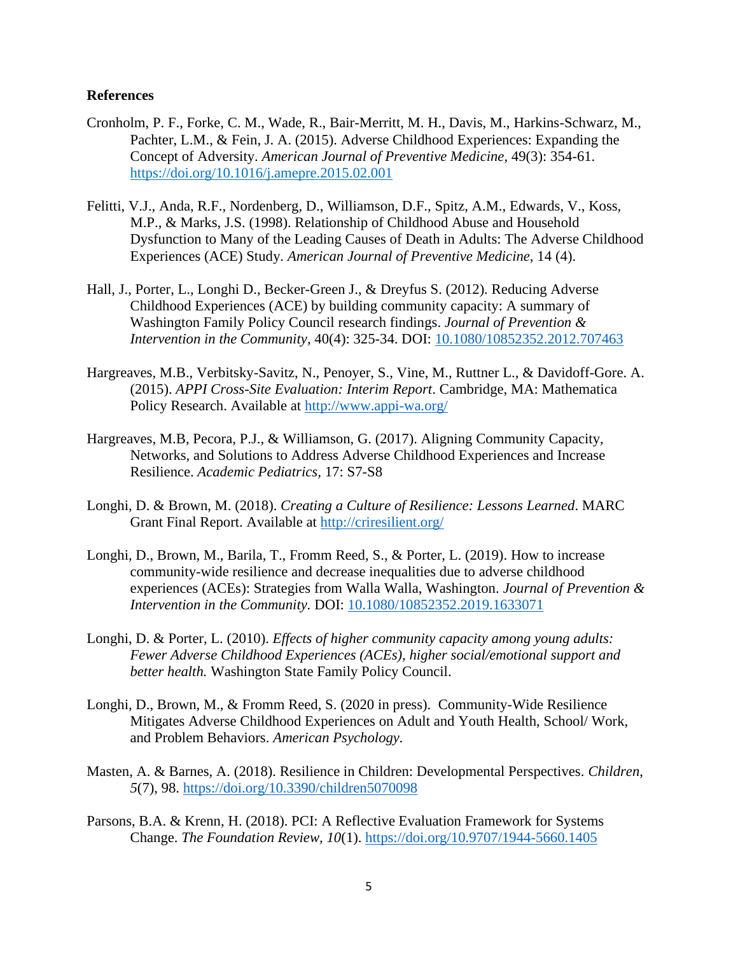#### **References**

- Cronholm, P. F., Forke, C. M., Wade, R., Bair-Merritt, M. H., Davis, M., Harkins-Schwarz, M., Pachter, L.M., & Fein, J. A. (2015). Adverse Childhood Experiences: Expanding the Concept of Adversity. *American Journal of Preventive Medicine*, 49(3): 354-61. https://doi.org/10.1016/j.amepre.2015.02.001
- Felitti, V.J., Anda, R.F., Nordenberg, D., Williamson, D.F., Spitz, A.M., Edwards, V., Koss, M.P., & Marks, J.S. (1998). Relationship of Childhood Abuse and Household Dysfunction to Many of the Leading Causes of Death in Adults: The Adverse Childhood Experiences (ACE) Study*. American Journal of Preventive Medicine,* 14 (4).
- Hall, J., Porter, L., Longhi D., Becker-Green J., & Dreyfus S. (2012). Reducing Adverse Childhood Experiences (ACE) by building community capacity: A summary of Washington Family Policy Council research findings. *Journal of Prevention & Intervention in the Community*, 40(4): 325-34. DOI: [10.1080/10852352.2012.707463](https://dx.doi.org/10.1080%2F10852352.2012.707463)
- Hargreaves, M.B., Verbitsky-Savitz, N., Penoyer, S., Vine, M., Ruttner L., & Davidoff-Gore. A. (2015). *APPI Cross-Site Evaluation: Interim Report*. Cambridge, MA: Mathematica Policy Research. Available at<http://www.appi-wa.org/>
- Hargreaves, M.B, Pecora, P.J., & Williamson, G. (2017). Aligning Community Capacity, Networks, and Solutions to Address Adverse Childhood Experiences and Increase Resilience. *Academic Pediatrics,* 17: S7-S8
- Longhi, D. & Brown, M. (2018). *Creating a Culture of Resilience: Lessons Learned*. MARC Grant Final Report. Available at<http://criresilient.org/>
- Longhi, D., Brown, M., Barila, T., Fromm Reed, S., & Porter, L. (2019). How to increase community-wide resilience and decrease inequalities due to adverse childhood experiences (ACEs): Strategies from Walla Walla, Washington. *Journal of Prevention & Intervention in the Community.* DOI: [10.1080/10852352.2019.1633071](https://doi.org/10.1080/10852352.2019.1633071)
- Longhi, D. & Porter, L. (2010). *Effects of higher community capacity among young adults: Fewer Adverse Childhood Experiences (ACEs), higher social/emotional support and better health.* Washington State Family Policy Council.
- Longhi, D., Brown, M., & Fromm Reed, S. (2020 in press). Community-Wide Resilience Mitigates Adverse Childhood Experiences on Adult and Youth Health, School/ Work, and Problem Behaviors. *American Psychology.*
- Masten, A. & Barnes, A. (2018). Resilience in Children: Developmental Perspectives. *Children*, *5*(7), 98.<https://doi.org/10.3390/children5070098>
- Parsons, B.A. & Krenn, H. (2018). PCI: A Reflective Evaluation Framework for Systems Change. *The Foundation Review, 10*(1).<https://doi.org/10.9707/1944-5660.1405>